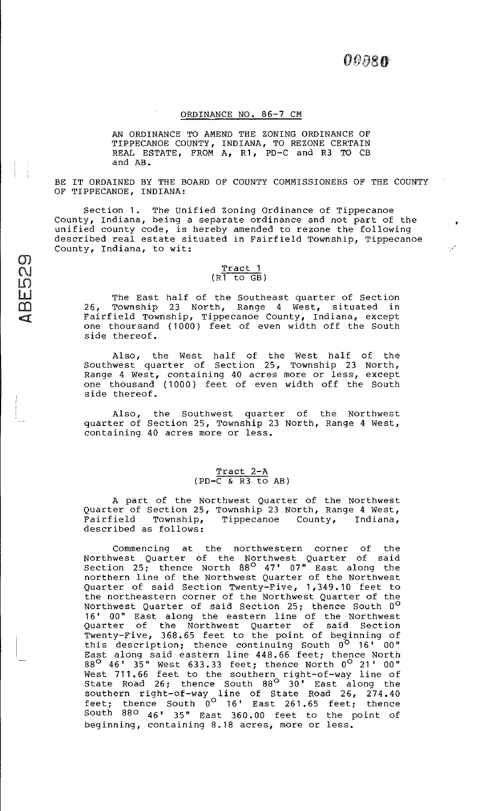. **\*** 

 $\hat{\mathcal{A}}'$ 

## ORDINANCE NO. 86-7 CM

AN ORDINANCE TO AMEND THE ZONING ORDINANCE OF TIPPECANOE COUNTY, INDIANA, TO REZONE CERTAIN REAL ESTATE, FROM A, R1, PD-C and R3 TO CB and AB.

BE IT ORDAINED BY THE BOARD OF COUNTY COMMISSIONERS OF THE COUNTY OF TIPPECANOE, INDIANA:

Section 1. The Unified Zoning Ordinance of Tippecanoe County, Indiana, being a separate ordinance and not part of the unified county code, is hereby amended to rezone the following described real estate situated in Fairfield Township, Tippecanoe County, Indiana, to wit:

#### Tract 1  $(R1 to GB)$

 $\sigma$ C\I  $\overline{\mathsf{L}}$ U m  $\mathbb{Z}$ 

The East half of the Southeast quarter of Section 26, Township 23 North, Range 4 West, situated in Fairfield Township, Tippecanoe County, Indiana, except one thoursand (1000) feet of even width off the South side thereof.

Also, the West half of the West half of the Southwest quarter of Section 25, Township 23 North, Range 4 west, containing 40 acres more or less, except one thousand (1000) feet of even width off the South side thereof.

Also, quarter of Section 25, Township 23 North, Range 4 west, containing 40 acres more or less. the Southwest quarter of the Northwest

# Tract 2-A  $(PD-\overline{C} \& R3$  to AB)

A part of the Northwest Quarter of the Northwest Quarter of Section 25, Township 23 North, Range 4 West, Fairfield Township, Tippecanoe County, Indiana, Fairfield Township,<br>described as follows:

Commencing at the northwestern corner of the Northwest Quarter of the Northwest Quarter of said Section  $25$ ; thence North  $88^\circ$   $47'$   $07''$  East along the northern line of the Northwest Quarter of the Northwest Quarter of said Section Twenty-Five, 1,349.10 feet to the northeastern corner of the Northwest Quarter of the Northwest Quarter of said Section 25; thence South  $0^{\circ}$ 16' 00" East along the eastern line of the Northwest Quarter of the Northwest Quarter of said Section Twenty-Five, 368.65 feet to the point of beginning of this description; thence continuing South 0<sup>0</sup> 16' 00" East along said eastern line 448.66 feet; thence North  $88^{\circ}$  46' 35" West 633.33 feet; thence North  $0^{\circ}$  21' 00" West 711.66 feet to the southern right-of-way line of State Road  $26$ ; thence South  $88^\circ$   $30'$  East along the southern right-of-way line of State Road 26, 274.40  $f$ eet; thence South  $0^{\circ}$  16' East 261.65 feet; thence South  $880$   $46'$   $35''$  East  $360.00$  feet to the point of beginning, containing 8.18 acres, more or less.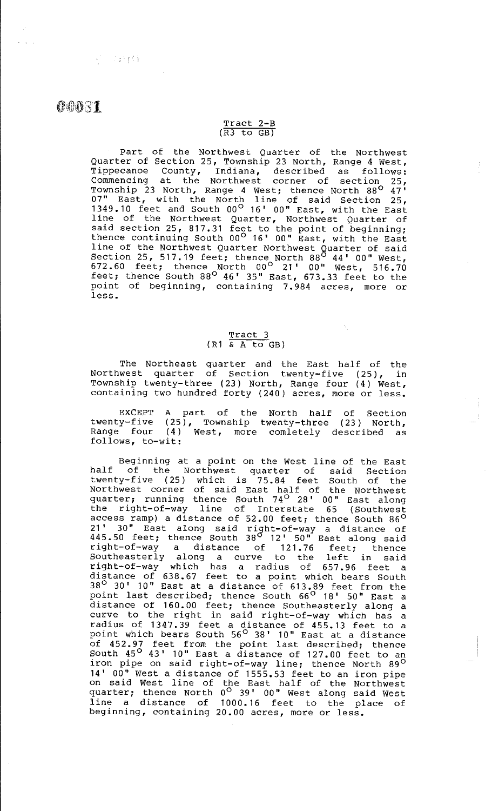# $\bm{c}$   $\bm{c}$   $\bm{v}$   $\bm{s}$   $\bm{1}$

**SCO 241144** 

#### Tract 2-B  $(R3 to GB)$

Part of the Northwest Quarter of the Northwest Quarter of Section 25, Township 23 North, Range 4 west, Tippecanoe County, Indiana, described as follows: Commencing at the Northwest corner of section 25, Township 23 North, Range 4 West; thence North 88<sup>0</sup> 47' 07" East, with the North line of said Section 25, 1349.10 feet and South 00° 16' 00" East, with the East line of the Northwest Quarter, Northwest Quarter of said section 25, 817.31 feet to the point of beginning; thence continuing South 00<sup>°</sup> 16' 00" East, with the East line of the Northwest Quarter Northwest Quarter of said Section 25, 517.19 feet; thence North 88 $^{\circ}$  44' 00" West, 672.60 feet; thence North 00° 21' 00" west, 516.70 feet; thence South  $88^\circ$   $46'$  35" East,  $673.33$  feet to the point of beginning, containing 7.984 acres, more or less.

### Tract 3  $(R1 \& A \tto GB)$

The Northeast quarter and the East half of the Northwest quarter of Section twenty-five (25), in Township twenty-three (23) North, Range four (4) west, containing two hundred forty (240) acres, more or less.

EXCEPT A part of the North half of Section twenty-five (25), Township twenty-three (23) North, Range four (4) West, more comietely described as follows, to-wit:

Beginning at a point on the west line of the East half of the Northwest quarter of said Section twenty-five (25) which is 75.84 feet South of the Northwest corner of said East half of the Northwest quarter; running thence South 74<sup>0</sup> 28' 00" East along the right-of-way line of Interstate 65 (Southwest access ramp) a distance of 52.00 feet; thence South 86<sup>0</sup> 21' 30" East along said right-of-way a distance of  $445.50$  feet; thence South  $38<sup>0</sup>$  12'  $50<sup>m</sup>$  East along said right-of-way a distance of 121.76 feet; thence Eight of way a discurred of 121.76 leet; thence right-of-way which has a radius of 657.96 feet a distance of 638. 67 feet to a point which bears South 38° 30' 10" East at a distance of 613.89 feet from the point last described; thence South 66<sup>°</sup> 18' 50" East a distance of 160. 00 feet; thence Southeasterly along a curve to the right in said right-of-way which has a radius of 1347.39 feet a distance of 455.13 feet to a point which bears South 56<sup>0</sup> 38' 10" East at a distance of 452. 97 feet from the point last described; thence South  $45^{\circ}$   $43'$   $10''$  East a distance of  $127.00$  feet to an iron pipe on said right-of-way line; thence North 89<sup>0</sup> 14' 00" West a distance of 1555.53 feet to an iron pipe on said West line of the East half of the Northwest quarter; thence North 0<sup>0</sup> 39' 00" West along said West line a distance of 1000.16 feet to the place of beginning, containing 20.00 acres, more or less.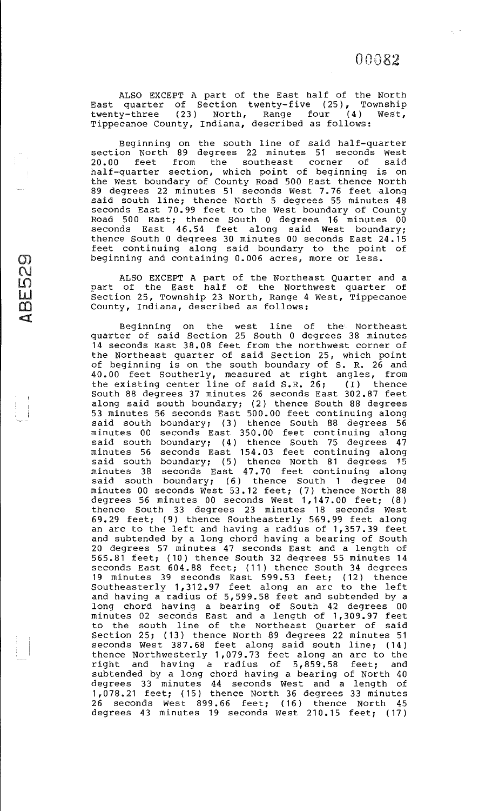$\epsilon_{\rm c}$  .

ALSO EXCEPT A part of the East half of the North East quarter of Section twenty-five (25), Township twenty-three (23) North, Range four (4) West, Tippecanoe County, Indiana, described as follows:

Beginning on the south line of said half-quarter section North 89 degrees 22 minutes 51 seconds west 20.00 feet from the southeast corner of said half-quarter section, which point of beginning is on the west boundary of County Road 500 East thence North 89 degrees 22 minutes 51 seconds west 7. 76 feet along said south line; thence North 5 degrees 55 minutes 48 seconds East 70.99 feet to the West boundary of County Road 500 East; thence South 0 degrees 16 minutes 00 seconds East 46.54 feet along said West boundary; thence South 0 degrees 30 minutes 00 seconds East 24.15 feet continuing along said boundary to the point of beginning and containing 0.006 acres, more or less.

ALSO EXCEPT A part of the Northeast Quarter and a part of the East half of the Northwest quarter of Section 25, Township 23 North, Range 4 west, Tippecanoe County, Indiana, described as follows:

 $\overline{\mathcal{O}}$ 

 $\Omega$ <u>ul</u>  $\overline{\Omega}$ <:!

Beginning on the west line of the Northeast quarter of said Section 25 South 0 degrees 38 minutes 14 seconds East 38.08 feet from the northwest corner of the Northeast quarter of said Section 25, which point of beginning is on the south boundary of S. R. 26 and 40. 00 feet Southerly, measured at right angles, from the existing center line of said S.R. 26; (I) thence South 88 degrees 37 minutes 26 seconds East 302.87 feet along said south boundary; (2) thence South 88 degrees 53 minutes 56 seconds East 500.00 feet continuing along said south boundary; (3) thence South 88 degrees 56 minutes 00 seconds East 350. 00 feet continuing along said south boundary; (4) thence South 75 degrees  $47$ minutes 56 seconds East 154. 03 feet continuing along said south boundary; (5) thence North 81 degrees  $15$ minutes 38 seconds East 4 7. 70 feet continuing along said south boundary; (6) thence South 1 degree 04 minutes 00 seconds West 53.12 feet; (7) thence North 88 degrees 56 minutes 00 seconds west 1,147.00 feet; (8) thence South 33 degrees 23 minutes 18 seconds west 69.29 feet; (9) thence Southeasterly 569.99 feet along an arc to the left and having a radius of 1,357.39 feet and subtended by a long chord having a bearing of South 20 degrees 57 minutes 47 seconds East and a length of 565.81 feet; ( 10) thence South 32 degrees 55 minutes 14 seconds East 604. 88 feet; ( 11 ) thence South 34 degrees 19 minutes 39 seconds East 599. 53 feet; ( 12) thence Southeasterly 1, 312. 97 feet along an arc to the left and having a radius of 5,599.58 feet and subtended by a long chord having a bearing of South 42 degrees 00 minutes 02 seconds East and a length of 1, 309. 97 feet to the south line of the Northeast Quarter of said Section 25; ( 13) thence North 89 degrees 22 minutes 51 seconds West 387.68 feet along said south line; (14) thence Northwesterly 1,079.73 feet along an arc to the eneries not enhancement of the rest mainly and and having a radius of 5,859.58 feet; and subtended by a long chord having a bearing of North 40 degrees 33 minutes 44 seconds West and a length of 1,078.21 feet; ( 15) thence North 36 degrees 33 minutes 26 seconds West 899.66 feet; (16) thence North 45 degrees 43 minutes 19 seconds West 210.15 feet; (17)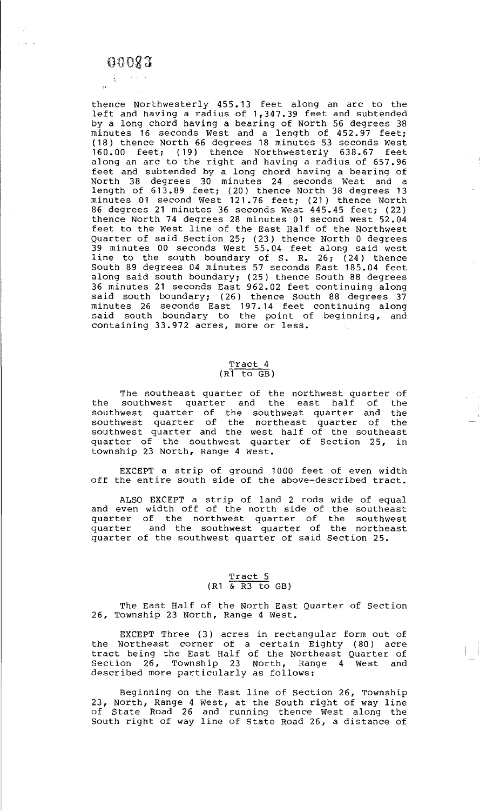# $00083$

 $\gamma_{\rm eff}$ 

thence Northwesterly 455. 13 feet along an arc to the left and having a radius of 1,347.39 feet and subtended by a long chord having a bearing of North 56 degrees 38 minutes 16 seconds West and a length of 452.97 feet; (18) thence North 66 degrees 18 minutes 53 seconds west 160.00 feet; (19) thence Northwesterly 638.67 feet along an arc to the right and having a radius of 657.96 feet and subtended by a long chord having a bearing of North 38 degrees 30 minutes 24 seconds west and a length of 613.89 feet; (20) thence North 38 degrees 13 minutes 01 second West 121.76 feet; (21) thence North 86 degrees 21 minutes 36 seconds west 445.45 feet; (22) thence North 74 degrees 28 minutes 01 second west 52.04 feet to the West line of the East Half of the Northwest Quarter of said Section 25; (23) thence North 0 degrees 39 minutes 00 seconds West 55. 04 feet along said west line to the south boundary of S. R. 26;  $(24)$  thence South 89 degrees 04 minutes 57 seconds East 185.04 feet along said south boundary; (25) thence South 88 degrees 36 minutes 21 seconds East 962.02 feet continuing along said south boundary; (26) thence South 88 degrees  $37$ minutes 26 seconds East 197. 14 feet continuing along said south boundary to the point of beginning, and containing 33.972 acres, more or less.

# Tract<sub>4</sub>  $(R\overline{1}$  to  $\overline{GB})$

The southeast quarter of the northwest quarter of<br>southwest quarter and the east half of the the southwest quarter and the east half of southwest quarter of the southwest quarter and the southwest quarter of the northeast quarter of the southwest quarter and the west half of the southeast quarter of the southwest quarter of Section 25, in township 23 North, Range 4 west.

EXCEPT a strip of ground 1000 feet of even width off the entire south side of the above-described tract.

ALSO EXCEPT a strip of land 2 rods and even width off of the north side of quarter of the northwest quarter of quarter and the southwest quarter of quarter of the southwest quarter of said Section 25. wide of equal the southeast the southwest the northeast

# Tract 5  $(R1 \times R3 \text{ to } GB)$

The East Half of the North East Quarter of Section 26, Township 23 North, Range 4 west.

EXCEPT Three (3) acres in rectangular form out of the Northeast corner of a certain Eighty (BO) acre tract being the East Half of the Northeast Quarter of Section 26, Township 23 North, Range 4 West and described more particularly as follows:

Beginning on the East line of Section 26, Township 23, North, Range 4 West, at the South right of way line of State Road 26 and running thence West along the South right of way line of State Road 26, a distance of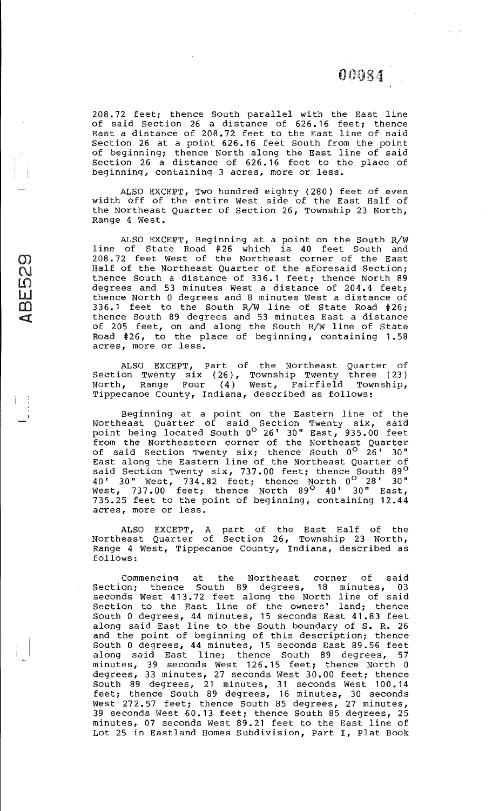$\langle\cdot\cdot\rangle_{\mathbb{Z}^3}$  :

208. 72 feet; thence South parallel with the East line of said Section 26 a distance of 626. 16 feet; thence East a distance of 208.72 feet to the East line of said Section 26 at a point 626.16 feet South from the point of beginning; thence North along the East line of said Section 26 a distance of 626. 16 feet to the place of beginning, containing 3 acres, more or less.

ALSO EXCEPT, Two hundred eighty (280) feet of even width off of the entire West side of the East Half of the Northeast Quarter of Section 26, Township 23 North, Range 4 west.

ALSO EXCEPT, Beginning at a point on the South R/W line of State Road #26 which is 40 feet South and 208. 72 feet west of the Northeast corner of the East Half of the Northeast Quarter of the aforesaid Section; thence South a distance of 336.1 feet; thence North 89 degrees and 53 minutes west a distance of 204.4 feet; thence North 0 degrees and 8 minutes west a distance of 336 .1 feet to the South R/W line of State Road #26; thence South 89 degrees and 53 minutes East a distance of 205 feet, on and along the South R/W line of State Road #26, to the place of beginning, containing 1. 58 acres, more or less.

 $\sigma$  $\Lambda$  $\sf SD$  $\prod_{\alpha=1}^{\infty}$  $\overline{\mathbf{C}}$  $\overline{\mathbb{C}}$ 

> ALSO EXCEPT, Part of the Northeast Quarter of Section Twenty six (26), Township Twenty three (23) North, Range Four (4) west, Fairfield Township, Tippecanoe County, Indiana, described as follows:

> Beginning at a point on the Eastern line of the Northeast Quarter of said Section Twenty six, said point being located South 0<sup>0</sup> 26' 30" East, 935.00 feet from the Northeastern corner of the Northeast Quarter of said Section Twenty six; thence South 0<sup>0</sup> 26' 30" East along the Eastern line of the Northeast Quarter of said Section Twenty six, 737.00 feet; thence South 89<sup>0</sup>  $40'$  30" West, 734.82 feet; thence North  $0^{\circ}$  28' 30" West, 737.00 feet; thence North 89<sup>0</sup> 40' 30" East, 735.25 feet to the point of beginning, containing 12.44 acres, more or less.

> ALSO EXCEPT, A part of the East Half of the Northeast Quarter of Section 26, Township 23 North, Range 4 west, Tippecanoe County, Indiana, described as follows:

> Commencing at the Northeast corner of said Section; thence South 89 degrees, 18 minutes, 03 seconds West 413.72 feet along the North line of said Section to the East line of the owners' land; thence South 0 degrees, 44 minutes, 15 seconds East 41.83 feet along said East line to the South boundary of S. R. 26 and the point of beginning of this description; thence South 0 degrees, 44 minutes, 15 seconds East 89.56 feet along said East line; thence South 89 degrees, 57 minutes, 39 seconds West 126.15 feet; thence North 0 degrees, 33 minutes, 27 seconds west 30.00 feet; thence South 89 degrees, 21 minutes, 31 seconds west 100. 14 feet; thence South 89 degrees, 16 minutes, 30 seconds West 272.57 feet; thence South 85 degrees, 27 minutes, 39 seconds West 60.13 feet; thence South 85 degrees, 25 minutes, 07 seconds west 89.21 feet to the East line of Lot 25 in Eastland Homes Subdivision, Part I, Plat Book